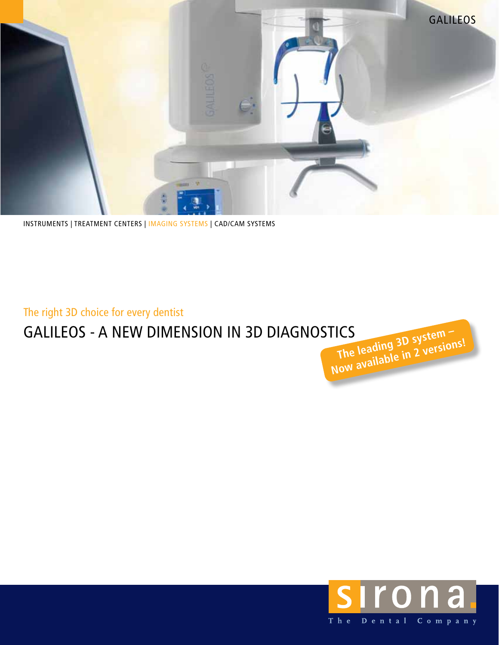

instruments | treatment centers | Imaging systems | cad/cam systems

The right 3D choice for every dentist

## GALILEOS - A NEW DIMENSION IN 3D DIAGNOSTICS

**The leading 3D system** The leading 3D systems!

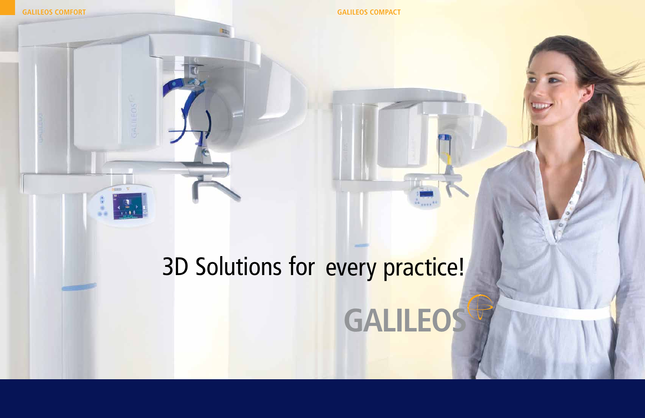**GALILEOS Comfort**

# 3D Solutions for every practice!**GALILEOS**

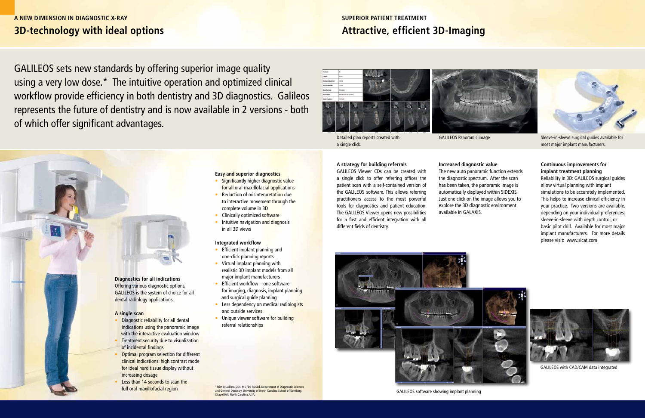## **3D-technology with ideal options A NEW DIMENSION IN DIAGNOSTIC x-ray**

**Diagnostics for all indications** Offering various diagnostic options, GALILEOS is the system of choice for all dental radiology applications.

#### **A single scan**

- **Diagnostic reliability for all dental** indications using the panoramic image with the interactive evaluation window
- **Treatment security due to visualization** of incidental findings
- Optimal program selection for different clinical indications: high contrast mode for ideal hard tissue display without increasing dosage
- Less than 14 seconds to scan the

- Significantly higher diagnostic value for all oral-maxillofacial applications
- Reduction of misinterpretation due to interactive movement through the complete volume in 3D
- Clinically optimized software
- Intuitive navigation and diagnosis in all 3D views

full oral-maxillofacial region \*John B.Ludlow, DDS, MS,FDS RCSEd, Department of Diagnostic Sciences and General Dentistry, University of North Carolina School of Dentistry, Chapel Hill, North Carolina, USA.

#### **Easy and superior diagnostics**

#### **Integrated workflow**

- Efficient implant planning and one-click planning reports
- Virtual implant planning with realistic 3D implant models from all major implant manufacturers
- Efficient workflow one software for imaging, diagnosis, implant planning and surgical guide planning
- Less dependency on medical radiologists and outside services
- Unique viewer software for building referral relationships

GALILEOS Panoramic image Sleeve-in-sleeve surgical guides available for most major implant manufacturers.

GALILEOS sets new standards by offering superior image quality using a very low dose.\* The intuitive operation and optimized clinical workflow provide efficiency in both dentistry and 3D diagnostics. Galileos represents the future of dentistry and is now available in 2 versions - both of which offer significant advantages.





## **Attractive, efficient 3D-Imaging superior patient treatment**

#### **A strategy for building referrals**

GALILEOS Viewer CDs can be created with a single click to offer referring offices the patient scan with a self-contained version of the GALILEOS software. This allows referring practitioners access to the most powerful tools for diagnostics and patient education. The GALILEOS Viewer opens new possibilities for a fast and efficient integration with all different fields of dentistry.

#### **Continuous improvements for implant treatment planning**

Reliability in 3D: GALILEOS surgical guides allow virtual planning with implant simulations to be accurately implemented. This helps to increase clinical efficiency in your practice. Two versions are available, depending on your individual preferences: sleeve-in-sleeve with depth control, or basic pilot drill. Available for most major implant manufacturers. For more details please visit: www.sicat.com

GALILEOS software showing implant planning

Detailed plan reports created with a single click.

#### **Increased diagnostic value**

The new auto panoramic function extends the diagnostic spectrum. After the scan has been taken, the panoramic image is automatically displayed within SIDEXIS. Just one click on the image allows you to explore the 3D diagnostic environment available in GALAXIS.

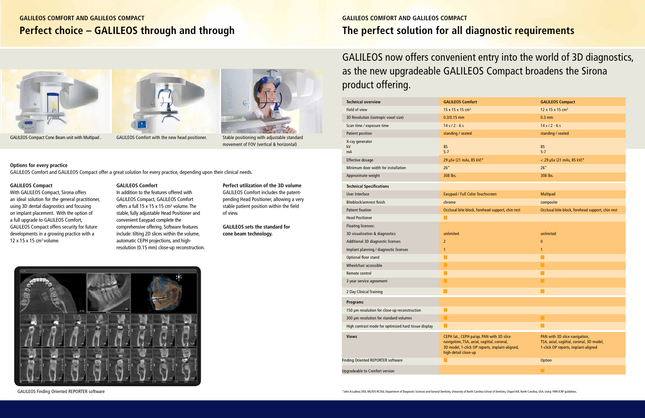## **Perfect choice – GALILEOS through and through GALILEOS Comfort and GALILEOS compact**





With GALILEOS Compact, Sirona offers an ideal solution for the general practitioner, using 3D dental diagnostics and focusing on implant placement. With the option of a full upgrade to GALILEOS Comfort, GALILEOS Compact offers security for future developments in a growing practice with a  $12 \times 15 \times 15$  cm<sup>3</sup> volume.

#### **GALILEOS Compact**

#### **GALILEOS Comfort**

In addition to the features offered with GALILEOS Compact, GALILEOS Comfort offers a full 15 x 15 x 15 cm<sup>3</sup> volume. The stable, fully adjustable Head Positioner and convenient Easypad complete the comprehensive offering. Software features include: tilting 2D slices within the volume, automatic CEPH projections, and highresolution (0.15 mm) close-up reconstruction.



GALILEOS Compact Cone Beam unit with Multipad . GALILEOS Comfort with the new head positioner. Stable positioning with adjustable standard movement of FOV (vertical & horizontal)

## **Perfect utilization of the 3D volume**

GALILEOS Comfort includes the patentpending Head Positioner, allowing a very stable patient position within the field of view.

**GALILEOS sets the standard for cone beam technology.**

### **Options for every practice**

GALILEOS Comfort and GALILEOS Compact offer a great solution for every practice, depending upon their clinical needs.



GALILEOS Finding Oriented REPORTER software

## **The perfect solution for all diagnostic requirements GALILEOS COMFORT AND GALILEOS COMPACT**

# GALILEOS now offers convenient entry into the world of 3D diagnostics, as the new upgradeable GALILEOS Compact broadens the Sirona product offering.

| <b>Technical overview</b>                            | <b>GALILEOS Comfort</b>                                                                                                                                          | <b>GALILEOS Compact</b>                                                                                          |
|------------------------------------------------------|------------------------------------------------------------------------------------------------------------------------------------------------------------------|------------------------------------------------------------------------------------------------------------------|
| Field of view                                        | 15 x 15 x 15 cm <sup>3</sup>                                                                                                                                     | 12 x 15 x 15 cm <sup>3</sup>                                                                                     |
| 3D Resolution (isotropic voxel size)                 | $0.3/0.15$ mm                                                                                                                                                    | $0.3$ mm                                                                                                         |
| Scan time / exposure time                            | $14 s / 2 - 6 s$                                                                                                                                                 | $14 s / 2 - 6 s$                                                                                                 |
| <b>Patient position</b>                              | standing / seated                                                                                                                                                | standing / seated                                                                                                |
| X-ray generator<br>kV<br>mA                          | 85<br>$5 - 7$                                                                                                                                                    | 85<br>$5 - 7$                                                                                                    |
| <b>Effective dosage</b>                              | 29 µSv (21 mAs, 85 kV)*                                                                                                                                          | $<$ 29 µSv (21 mAs, 85 kV)*                                                                                      |
| Minimum door width for installation                  | 26''                                                                                                                                                             | 26''                                                                                                             |
| Approximate weight                                   | 308 lbs.                                                                                                                                                         | 308 lbs.                                                                                                         |
| <b>Technical Specifications</b>                      |                                                                                                                                                                  |                                                                                                                  |
| <b>User Interface</b>                                | Easypad / Full Color Touchscreen                                                                                                                                 | <b>Multipad</b>                                                                                                  |
| Biteblock/armrest finish                             | chrome                                                                                                                                                           | composite                                                                                                        |
| <b>Patient fixation</b>                              | Occlusal bite block, forehead support, chin rest                                                                                                                 | Occlusal bite block, forehead support, chin rest                                                                 |
| <b>Head Positioner</b>                               | n l                                                                                                                                                              |                                                                                                                  |
| <b>Floating licenses:</b>                            |                                                                                                                                                                  |                                                                                                                  |
| 3D visualization & diagnostics                       | unlimited                                                                                                                                                        | unlimited                                                                                                        |
| Additional 3D diagnostic licenses                    | $\overline{2}$                                                                                                                                                   | $\pmb{0}$                                                                                                        |
| Implant planning / diagnostic licenses               | 1                                                                                                                                                                | $\mathbf{1}$                                                                                                     |
| Optional floor stand                                 |                                                                                                                                                                  |                                                                                                                  |
| Wheelchair accessible                                | ×.                                                                                                                                                               |                                                                                                                  |
| Remote control                                       |                                                                                                                                                                  |                                                                                                                  |
| 3 year service agreement                             | ×                                                                                                                                                                |                                                                                                                  |
| 2 Day Clinical Training                              | H                                                                                                                                                                | П                                                                                                                |
| <b>Programs</b>                                      |                                                                                                                                                                  |                                                                                                                  |
| 150 µm resolution for close-up reconstruction        |                                                                                                                                                                  |                                                                                                                  |
| 300 µm resolution for standard volumes               | m.                                                                                                                                                               | H                                                                                                                |
| High contrast mode for optimized hard tissue display | I.                                                                                                                                                               | L.                                                                                                               |
| <b>Views</b>                                         | CEPH lat., CEPH pa/ap, PAN with 3D slice<br>navigation, TSA, axial, sagittal, coronal,<br>3D model, 1-click OP reports, implant-aligned,<br>high-detail close-up | PAN with 3D slice navigation,<br>TSA, axial, sagittal, coronal, 3D model,<br>1-click OP reports, implant-aligned |
| Finding Oriented REPORTER software                   |                                                                                                                                                                  | <b>Option</b>                                                                                                    |
| <b>Upgradeable to Comfort version</b>                |                                                                                                                                                                  |                                                                                                                  |